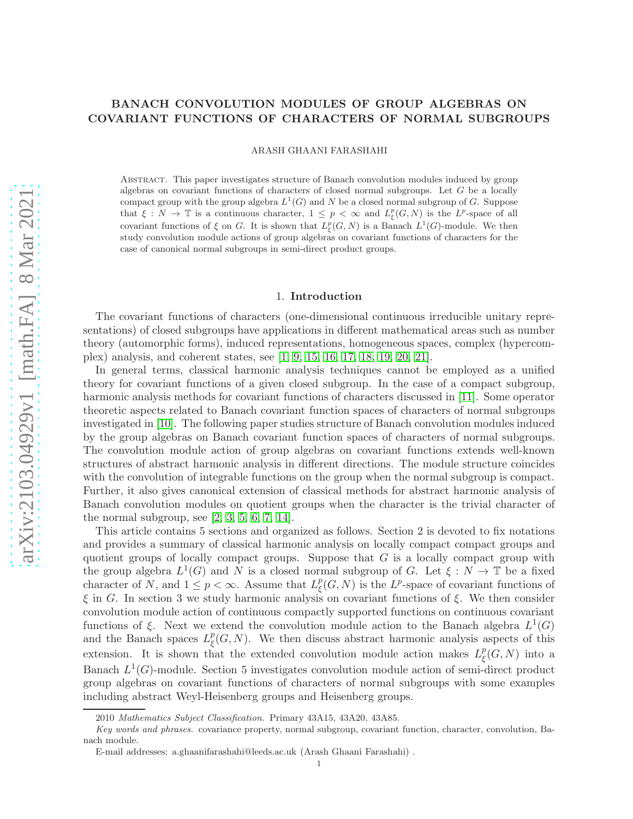# arXiv:2103.04929v1 [math.FA] 8 Mar 2021 [arXiv:2103.04929v1 \[math.FA\] 8 Mar 2021](http://arxiv.org/abs/2103.04929v1)

# BANACH CONVOLUTION MODULES OF GROUP ALGEBRAS ON COVARIANT FUNCTIONS OF CHARACTERS OF NORMAL SUBGROUPS

ARASH GHAANI FARASHAHI

Abstract. This paper investigates structure of Banach convolution modules induced by group algebras on covariant functions of characters of closed normal subgroups. Let  $G$  be a locally compact group with the group algebra  $L^1(G)$  and N be a closed normal subgroup of G. Suppose that  $\xi: N \to \mathbb{T}$  is a continuous character,  $1 \leq p < \infty$  and  $L^p_{\xi}(G, N)$  is the  $L^p$ -space of all covariant functions of  $\xi$  on G. It is shown that  $L^p_{\xi}(G, N)$  is a Banach  $L^1(G)$ -module. We then study convolution module actions of group algebras on covariant functions of characters for the case of canonical normal subgroups in semi-direct product groups.

### 1. Introduction

The covariant functions of characters (one-dimensional continuous irreducible unitary representations) of closed subgroups have applications in different mathematical areas such as number theory (automorphic forms), induced representations, homogeneous spaces, complex (hypercomplex) analysis, and coherent states, see [\[1,](#page-11-0) [9,](#page-11-1) [15,](#page-11-2) [16,](#page-11-3) [17,](#page-11-4) [18,](#page-11-5) [19,](#page-11-6) [20,](#page-11-7) [21\]](#page-11-8).

In general terms, classical harmonic analysis techniques cannot be employed as a unified theory for covariant functions of a given closed subgroup. In the case of a compact subgroup, harmonic analysis methods for covariant functions of characters discussed in [\[11\]](#page-11-9). Some operator theoretic aspects related to Banach covariant function spaces of characters of normal subgroups investigated in [\[10\]](#page-11-10). The following paper studies structure of Banach convolution modules induced by the group algebras on Banach covariant function spaces of characters of normal subgroups. The convolution module action of group algebras on covariant functions extends well-known structures of abstract harmonic analysis in different directions. The module structure coincides with the convolution of integrable functions on the group when the normal subgroup is compact. Further, it also gives canonical extension of classical methods for abstract harmonic analysis of Banach convolution modules on quotient groups when the character is the trivial character of the normal subgroup, see  $[2, 3, 5, 6, 7, 14]$  $[2, 3, 5, 6, 7, 14]$  $[2, 3, 5, 6, 7, 14]$  $[2, 3, 5, 6, 7, 14]$  $[2, 3, 5, 6, 7, 14]$  $[2, 3, 5, 6, 7, 14]$ .

This article contains 5 sections and organized as follows. Section 2 is devoted to fix notations and provides a summary of classical harmonic analysis on locally compact compact groups and quotient groups of locally compact groups. Suppose that  $G$  is a locally compact group with the group algebra  $L^1(G)$  and N is a closed normal subgroup of G. Let  $\xi : N \to \mathbb{T}$  be a fixed character of N, and  $1 \leq p < \infty$ . Assume that  $L^p_{\xi}$  $_{\xi}^{p}(G, N)$  is the L<sup>p</sup>-space of covariant functions of  $\xi$  in G. In section 3 we study harmonic analysis on covariant functions of  $\xi$ . We then consider convolution module action of continuous compactly supported functions on continuous covariant functions of  $\xi$ . Next we extend the convolution module action to the Banach algebra  $L^1(G)$ and the Banach spaces  $L^p_{\xi}$  $\frac{p}{\xi}(G, N)$ . We then discuss abstract harmonic analysis aspects of this extension. It is shown that the extended convolution module action makes  $L^p_{\xi}$  $\frac{p}{\xi}(G, N)$  into a Banach  $L^1(G)$ -module. Section 5 investigates convolution module action of semi-direct product group algebras on covariant functions of characters of normal subgroups with some examples including abstract Weyl-Heisenberg groups and Heisenberg groups.

<sup>2010</sup> *Mathematics Subject Classification.* Primary 43A15, 43A20, 43A85.

*Key words and phrases.* covariance property, normal subgroup, covariant function, character, convolution, Banach module.

E-mail addresses: a.ghaanifarashahi@leeds.ac.uk (Arash Ghaani Farashahi) .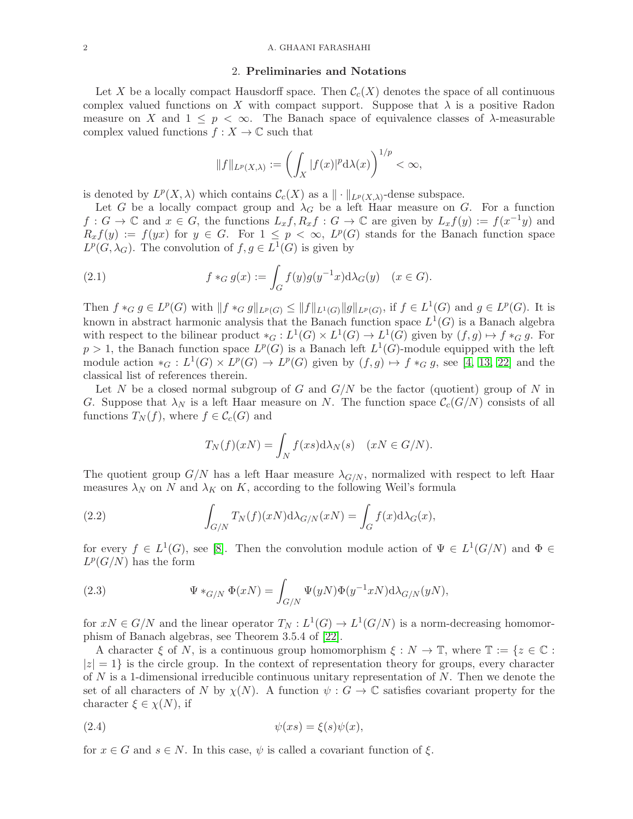### 2. Preliminaries and Notations

Let X be a locally compact Hausdorff space. Then  $\mathcal{C}_c(X)$  denotes the space of all continuous complex valued functions on X with compact support. Suppose that  $\lambda$  is a positive Radon measure on X and  $1 \leq p < \infty$ . The Banach space of equivalence classes of  $\lambda$ -measurable complex valued functions  $f : X \to \mathbb{C}$  such that

<span id="page-1-1"></span>
$$
||f||_{L^p(X,\lambda)} := \left(\int_X |f(x)|^p \mathrm{d}\lambda(x)\right)^{1/p} < \infty,
$$

is denoted by  $L^p(X, \lambda)$  which contains  $\mathcal{C}_c(X)$  as a  $\|\cdot\|_{L^p(X, \lambda)}$ -dense subspace.

Let G be a locally compact group and  $\lambda_G$  be a left Haar measure on G. For a function  $f: G \to \mathbb{C}$  and  $x \in G$ , the functions  $L_x f, R_x f: G \to \mathbb{C}$  are given by  $L_x f(y) := f(x^{-1}y)$  and  $R_x f(y) := f(yx)$  for  $y \in G$ . For  $1 \leq p < \infty$ ,  $L^p(G)$  stands for the Banach function space  $L^p(G, \lambda_G)$ . The convolution of  $f, g \in L^1(G)$  is given by

(2.1) 
$$
f *_{G} g(x) := \int_{G} f(y)g(y^{-1}x) d\lambda_{G}(y) \quad (x \in G).
$$

Then  $f *_{G} g \in L^{p}(G)$  with  $||f *_{G} g||_{L^{p}(G)} \leq ||f||_{L^{1}(G)} ||g||_{L^{p}(G)}$ , if  $f \in L^{1}(G)$  and  $g \in L^{p}(G)$ . It is known in abstract harmonic analysis that the Banach function space  $L^1(G)$  is a Banach algebra with respect to the bilinear product  $*_G: L^1(G) \times L^1(G) \to L^1(G)$  given by  $(f, g) \mapsto f*_G g$ . For  $p > 1$ , the Banach function space  $L^p(G)$  is a Banach left  $L^1(G)$ -module equipped with the left module action  $*_G: L^1(G) \times L^p(G) \to L^p(G)$  given by  $(f, g) \mapsto f*_G g$ , see [\[4,](#page-11-17) [13,](#page-11-18) [22\]](#page-11-19) and the classical list of references therein.

Let N be a closed normal subgroup of G and  $G/N$  be the factor (quotient) group of N in G. Suppose that  $\lambda_N$  is a left Haar measure on N. The function space  $\mathcal{C}_c(G/N)$  consists of all functions  $T_N(f)$ , where  $f \in \mathcal{C}_c(G)$  and

<span id="page-1-0"></span>
$$
T_N(f)(xN) = \int_N f(xs) d\lambda_N(s) \quad (xN \in G/N).
$$

The quotient group  $G/N$  has a left Haar measure  $\lambda_{G/N}$ , normalized with respect to left Haar measures  $\lambda_N$  on N and  $\lambda_K$  on K, according to the following Weil's formula

(2.2) 
$$
\int_{G/N} T_N(f)(xN) d\lambda_{G/N}(xN) = \int_G f(x) d\lambda_G(x),
$$

for every  $f \in L^1(G)$ , see [\[8\]](#page-11-20). Then the convolution module action of  $\Psi \in L^1(G/N)$  and  $\Phi \in$  $L^p(G/N)$  has the form

(2.3) 
$$
\Psi *_{G/N} \Phi(xN) = \int_{G/N} \Psi(yN) \Phi(y^{-1}xN) d\lambda_{G/N}(yN),
$$

for  $xN \in G/N$  and the linear operator  $T_N : L^1(G) \to L^1(G/N)$  is a norm-decreasing homomorphism of Banach algebras, see Theorem 3.5.4 of [\[22\]](#page-11-19).

A character  $\xi$  of N, is a continuous group homomorphism  $\xi : N \to \mathbb{T}$ , where  $\mathbb{T} := \{z \in \mathbb{C} :$  $|z| = 1$  is the circle group. In the context of representation theory for groups, every character of  $N$  is a 1-dimensional irreducible continuous unitary representation of  $N$ . Then we denote the set of all characters of N by  $\chi(N)$ . A function  $\psi: G \to \mathbb{C}$  satisfies covariant property for the character  $\xi \in \chi(N)$ , if

$$
(2.4) \t\t\t \psi(xs) = \xi(s)\psi(x),
$$

for  $x \in G$  and  $s \in N$ . In this case,  $\psi$  is called a covariant function of  $\xi$ .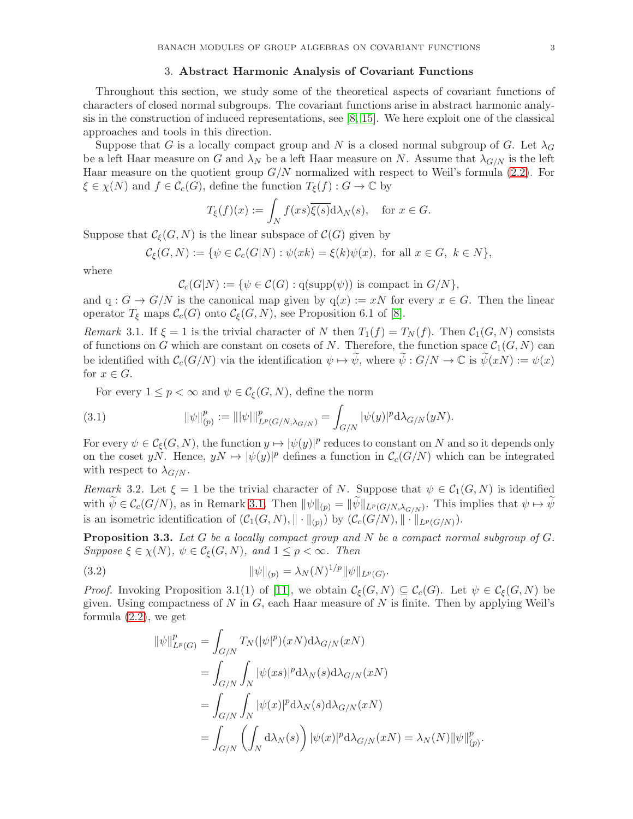### 3. Abstract Harmonic Analysis of Covariant Functions

Throughout this section, we study some of the theoretical aspects of covariant functions of characters of closed normal subgroups. The covariant functions arise in abstract harmonic analysis in the construction of induced representations, see [\[8,](#page-11-20) [15\]](#page-11-2). We here exploit one of the classical approaches and tools in this direction.

Suppose that G is a locally compact group and N is a closed normal subgroup of G. Let  $\lambda_G$ be a left Haar measure on G and  $\lambda_N$  be a left Haar measure on N. Assume that  $\lambda_{G/N}$  is the left Haar measure on the quotient group  $G/N$  normalized with respect to Weil's formula [\(2.2\)](#page-1-0). For  $\xi \in \chi(N)$  and  $f \in \mathcal{C}_c(G)$ , define the function  $T_{\xi}(f) : G \to \mathbb{C}$  by

$$
T_{\xi}(f)(x) := \int_{N} f(xs)\overline{\xi(s)}d\lambda_{N}(s), \text{ for } x \in G.
$$

Suppose that  $\mathcal{C}_{\epsilon}(G, N)$  is the linear subspace of  $\mathcal{C}(G)$  given by

 $\mathcal{C}_{\mathcal{E}}(G, N) := \{ \psi \in \mathcal{C}_{c}(G|N) : \psi(xk) = \xi(k)\psi(x), \text{ for all } x \in G, k \in N \},\$ 

where

$$
\mathcal{C}_c(G|N) := \{ \psi \in \mathcal{C}(G) : q(\mathrm{supp}(\psi)) \text{ is compact in } G/N \},
$$

and  $q: G \to G/N$  is the canonical map given by  $q(x) := xN$  for every  $x \in G$ . Then the linear operator  $T_{\xi}$  maps  $\mathcal{C}_c(G)$  onto  $\mathcal{C}_{\xi}(G, N)$ , see Proposition 6.1 of [\[8\]](#page-11-20).

<span id="page-2-0"></span>Remark 3.1. If  $\xi = 1$  is the trivial character of N then  $T_1(f) = T_N(f)$ . Then  $C_1(G, N)$  consists of functions on G which are constant on cosets of N. Therefore, the function space  $C_1(G, N)$  can be identified with  $\mathcal{C}_c(G/N)$  via the identification  $\psi \mapsto \widetilde{\psi}$ , where  $\widetilde{\psi}: G/N \to \mathbb{C}$  is  $\widetilde{\psi}(xN) := \psi(x)$ for  $x \in G$ .

<span id="page-2-2"></span>For every  $1 \leq p < \infty$  and  $\psi \in \mathcal{C}_{\xi}(G, N)$ , define the norm

(3.1) 
$$
\|\psi\|_{(p)}^p := \||\psi\|\|_{L^p(G/N,\lambda_{G/N})}^p = \int_{G/N} |\psi(y)|^p \mathrm{d}\lambda_{G/N}(yN).
$$

For every  $\psi \in \mathcal{C}_{\xi}(G,N)$ , the function  $y \mapsto |\psi(y)|^p$  reduces to constant on N and so it depends only on the coset yN. Hence,  $yN \mapsto |\psi(y)|^p$  defines a function in  $\mathcal{C}_c(G/N)$  which can be integrated with respect to  $\lambda_{G/N}$ .

<span id="page-2-3"></span>Remark 3.2. Let  $\xi = 1$  be the trivial character of N. Suppose that  $\psi \in C_1(G, N)$  is identified with  $\psi \in \mathcal{C}_c(G/N)$ , as in Remark [3.1.](#page-2-0) Then  $\|\psi\|_{(p)} = \|\psi\|_{L^p(G/N,\lambda_{G/N})}$ . This implies that  $\psi \mapsto \psi$ is an isometric identification of  $(C_1(G, N), \|\cdot\|_{(p)})$  by  $(C_c(G/N), \|\cdot\|_{L^p(G/N)})$ .

<span id="page-2-1"></span>**Proposition 3.3.** Let  $G$  be a locally compact group and  $N$  be a compact normal subgroup of  $G$ . Suppose  $\xi \in \chi(N)$ ,  $\psi \in \mathcal{C}_{\xi}(G,N)$ , and  $1 \leq p < \infty$ . Then

(3.2) 
$$
\|\psi\|_{(p)} = \lambda_N(N)^{1/p} \|\psi\|_{L^p(G)}.
$$

*Proof.* Invoking Proposition 3.1(1) of [\[11\]](#page-11-9), we obtain  $\mathcal{C}_{\xi}(G, N) \subseteq \mathcal{C}_{c}(G)$ . Let  $\psi \in \mathcal{C}_{\xi}(G, N)$  be given. Using compactness of N in  $G$ , each Haar measure of N is finite. Then by applying Weil's formula [\(2.2\)](#page-1-0), we get

$$
\begin{split} \|\psi\|_{L^p(G)}^p &= \int_{G/N} T_N(|\psi|^p)(xN) \mathrm{d}\lambda_{G/N}(xN) \\ &= \int_{G/N} \int_N |\psi(xs)|^p \mathrm{d}\lambda_N(s) \mathrm{d}\lambda_{G/N}(xN) \\ &= \int_{G/N} \int_N |\psi(x)|^p \mathrm{d}\lambda_N(s) \mathrm{d}\lambda_{G/N}(xN) \\ &= \int_{G/N} \left( \int_N \mathrm{d}\lambda_N(s) \right) |\psi(x)|^p \mathrm{d}\lambda_{G/N}(xN) = \lambda_N(N) ||\psi||_{(p)}^p. \end{split}
$$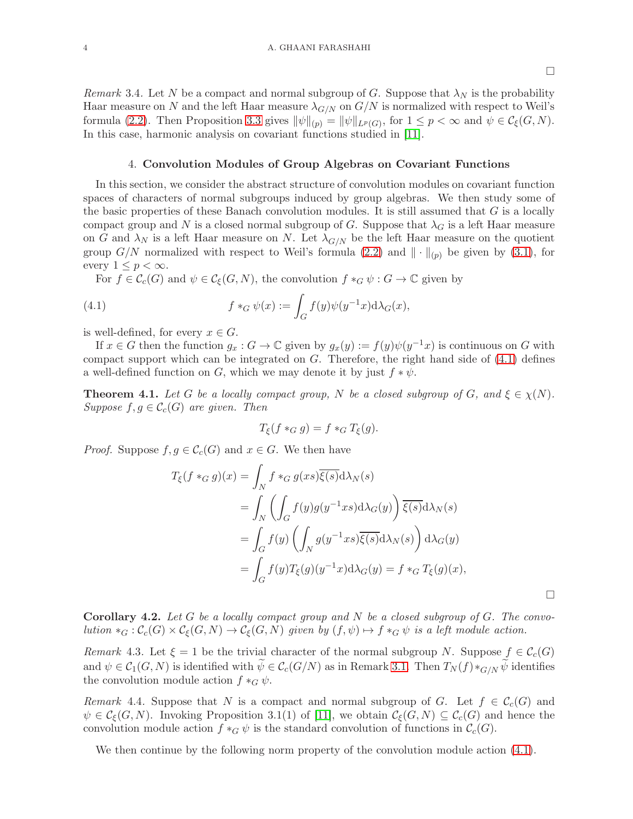$\Box$ 

Remark 3.4. Let N be a compact and normal subgroup of G. Suppose that  $\lambda_N$  is the probability Haar measure on N and the left Haar measure  $\lambda_{G/N}$  on  $G/N$  is normalized with respect to Weil's formula [\(2.2\)](#page-1-0). Then Proposition [3.3](#page-2-1) gives  $\|\psi\|_{(p)} = \|\psi\|_{L^p(G)}$ , for  $1 \le p < \infty$  and  $\psi \in C_{\xi}(G, N)$ . In this case, harmonic analysis on covariant functions studied in [\[11\]](#page-11-9).

### 4. Convolution Modules of Group Algebras on Covariant Functions

In this section, we consider the abstract structure of convolution modules on covariant function spaces of characters of normal subgroups induced by group algebras. We then study some of the basic properties of these Banach convolution modules. It is still assumed that  $G$  is a locally compact group and N is a closed normal subgroup of G. Suppose that  $\lambda_G$  is a left Haar measure on G and  $\lambda_N$  is a left Haar measure on N. Let  $\lambda_{G/N}$  be the left Haar measure on the quotient group  $G/N$  normalized with respect to Weil's formula [\(2.2\)](#page-1-0) and  $\|\cdot\|_{(p)}$  be given by [\(3.1\)](#page-2-2), for every  $1 \leq p < \infty$ .

For  $f \in \mathcal{C}_c(G)$  and  $\psi \in \mathcal{C}_{\xi}(G,N)$ , the convolution  $f *_G \psi : G \to \mathbb{C}$  given by

(4.1) 
$$
f *_{G} \psi(x) := \int_{G} f(y)\psi(y^{-1}x)\mathrm{d}\lambda_{G}(x),
$$

is well-defined, for every  $x \in G$ .

If  $x \in G$  then the function  $g_x : G \to \mathbb{C}$  given by  $g_x(y) := f(y)\psi(y^{-1}x)$  is continuous on G with compact support which can be integrated on  $G$ . Therefore, the right hand side of  $(4.1)$  defines a well-defined function on G, which we may denote it by just  $f * \psi$ .

<span id="page-3-1"></span>**Theorem 4.1.** Let G be a locally compact group, N be a closed subgroup of G, and  $\xi \in \chi(N)$ . Suppose  $f, g \in \mathcal{C}_c(G)$  are given. Then

<span id="page-3-0"></span>
$$
T_{\xi}(f *_{G} g) = f *_{G} T_{\xi}(g).
$$

*Proof.* Suppose  $f, g \in \mathcal{C}_c(G)$  and  $x \in G$ . We then have

$$
T_{\xi}(f *_{G} g)(x) = \int_{N} f *_{G} g(xs) \overline{\xi(s)} d\lambda_{N}(s)
$$
  
= 
$$
\int_{N} \left( \int_{G} f(y)g(y^{-1}xs) d\lambda_{G}(y) \right) \overline{\xi(s)} d\lambda_{N}(s)
$$
  
= 
$$
\int_{G} f(y) \left( \int_{N} g(y^{-1}xs) \overline{\xi(s)} d\lambda_{N}(s) \right) d\lambda_{G}(y)
$$
  
= 
$$
\int_{G} f(y) T_{\xi}(g)(y^{-1}x) d\lambda_{G}(y) = f *_{G} T_{\xi}(g)(x),
$$

**Corollary 4.2.** Let G be a locally compact group and N be a closed subgroup of G. The convolution  $*_G : \mathcal{C}_c(G) \times \mathcal{C}_\xi(G, N) \to \mathcal{C}_\xi(G, N)$  given by  $(f, \psi) \mapsto f*_G \psi$  is a left module action.

<span id="page-3-2"></span>Remark 4.3. Let  $\xi = 1$  be the trivial character of the normal subgroup N. Suppose  $f \in \mathcal{C}_c(G)$ and  $\psi \in \mathcal{C}_1(G, N)$  is identified with  $\psi \in \mathcal{C}_c(G/N)$  as in Remark [3.1.](#page-2-0) Then  $T_N(f) *_{G/N} \psi$  identifies the convolution module action  $f *_{G} \psi$ .

<span id="page-3-3"></span>Remark 4.4. Suppose that N is a compact and normal subgroup of G. Let  $f \in C_c(G)$  and  $\psi \in \mathcal{C}_{\xi}(G,N)$ . Invoking Proposition 3.1(1) of [\[11\]](#page-11-9), we obtain  $\mathcal{C}_{\xi}(G,N) \subseteq \mathcal{C}_{c}(G)$  and hence the convolution module action  $f *_{G} \psi$  is the standard convolution of functions in  $\mathcal{C}_{c}(G)$ .

We then continue by the following norm property of the convolution module action  $(4.1)$ .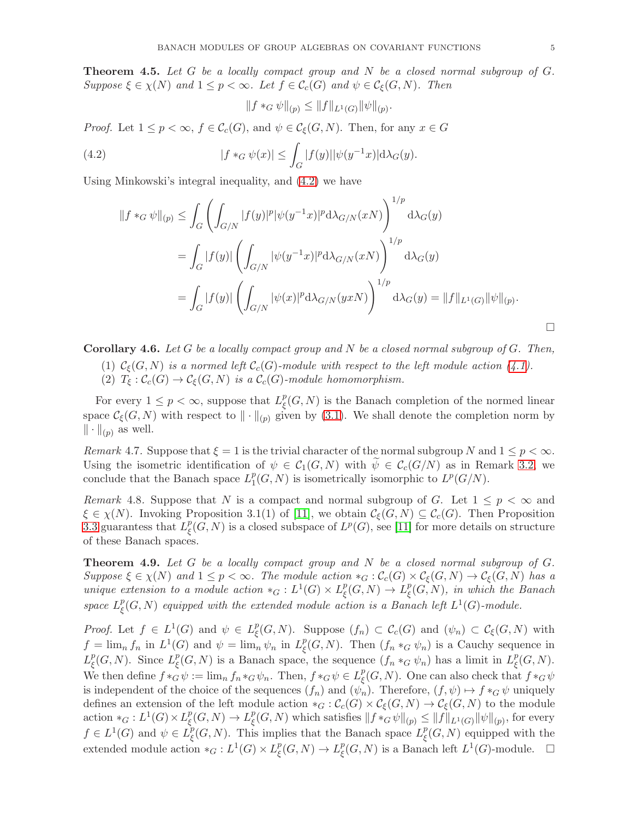**Theorem 4.5.** Let G be a locally compact group and N be a closed normal subgroup of  $G$ . Suppose  $\xi \in \chi(N)$  and  $1 \leq p < \infty$ . Let  $f \in \mathcal{C}_c(G)$  and  $\psi \in \mathcal{C}_\xi(G, N)$ . Then

<span id="page-4-0"></span>
$$
||f *_{G} \psi||_{(p)} \leq ||f||_{L^{1}(G)} ||\psi||_{(p)}.
$$

*Proof.* Let  $1 \leq p < \infty$ ,  $f \in \mathcal{C}_c(G)$ , and  $\psi \in \mathcal{C}_c(G, N)$ . Then, for any  $x \in G$ 

(4.2) 
$$
|f *_{G} \psi(x)| \leq \int_{G} |f(y)| |\psi(y^{-1}x)| d\lambda_{G}(y).
$$

Using Minkowski's integral inequality, and [\(4.2\)](#page-4-0) we have

$$
||f *_{G} \psi||_{(p)} \leq \int_{G} \left( \int_{G/N} |f(y)|^{p} |\psi(y^{-1}x)|^{p} d\lambda_{G/N}(xN) \right)^{1/p} d\lambda_{G}(y)
$$
  

$$
= \int_{G} |f(y)| \left( \int_{G/N} |\psi(y^{-1}x)|^{p} d\lambda_{G/N}(xN) \right)^{1/p} d\lambda_{G}(y)
$$
  

$$
= \int_{G} |f(y)| \left( \int_{G/N} |\psi(x)|^{p} d\lambda_{G/N}(yxN) \right)^{1/p} d\lambda_{G}(y) = ||f||_{L^{1}(G)} ||\psi||_{(p)}.
$$

**Corollary 4.6.** Let G be a locally compact group and N be a closed normal subgroup of G. Then,

- (1)  $C_{\xi}(G, N)$  is a normed left  $C_{c}(G)$ -module with respect to the left module action [\(4.1\)](#page-3-0).
- (2)  $T_{\xi}: \mathcal{C}_c(G) \to \mathcal{C}_{\xi}(G, N)$  is a  $\mathcal{C}_c(G)$ -module homomorphism.

For every  $1 \leq p < \infty$ , suppose that  $L^p_{\xi}$  $\frac{p}{\xi}(G, N)$  is the Banach completion of the normed linear space  $\mathcal{C}_{\xi}(G, N)$  with respect to  $\|\cdot\|_{(p)}$  given by [\(3.1\)](#page-2-2). We shall denote the completion norm by  $\|\cdot\|_{(p)}$  as well.

<span id="page-4-2"></span>Remark 4.7. Suppose that  $\xi = 1$  is the trivial character of the normal subgroup N and  $1 \leq p < \infty$ . Using the isometric identification of  $\psi \in C_1(G, N)$  with  $\psi \in C_c(G/N)$  as in Remark [3.2,](#page-2-3) we conclude that the Banach space  $L_1^p$  $_{1}^{p}(G, N)$  is isometrically isomorphic to  $L^{p}(G/N)$ .

<span id="page-4-3"></span>Remark 4.8. Suppose that N is a compact and normal subgroup of G. Let  $1 \leq p < \infty$  and  $\xi \in \chi(N)$ . Invoking Proposition 3.1(1) of [\[11\]](#page-11-9), we obtain  $\mathcal{C}_{\xi}(G, N) \subseteq \mathcal{C}_{c}(G)$ . Then Proposition [3.3](#page-2-1) guarantess that  $L^p_{\xi}$  $\frac{p}{\xi}(G, N)$  is a closed subspace of  $L^p(G)$ , see [\[11\]](#page-11-9) for more details on structure of these Banach spaces.

<span id="page-4-1"></span>**Theorem 4.9.** Let  $G$  be a locally compact group and  $N$  be a closed normal subgroup of  $G$ . Suppose  $\xi \in \chi(N)$  and  $1 \leq p < \infty$ . The module action  $*_G : \mathcal{C}_c(G) \times \mathcal{C}_\xi(G,N) \to \mathcal{C}_\xi(G,N)$  has a unique extension to a module action  $*_G: L^1(G) \times L^p$  $\frac{p}{\xi}(G,N)\rightarrow L_{\xi}^{p}$  $_{\xi}^p(G,N)$ , in which the Banach space  $L^p_{\xi}$  $_{\xi}^p(G, N)$  equipped with the extended module action is a Banach left  $L^1(G)$ -module.

*Proof.* Let  $f \in L^1(G)$  and  $\psi \in L^p$  $\mathcal{C}_{\xi}(G,N)$ . Suppose  $(f_n) \subset \mathcal{C}_{c}(G)$  and  $(\psi_n) \subset \mathcal{C}_{\xi}(G,N)$  with  $f = \lim_{n} f_n$  in  $L^1(G)$  and  $\psi = \lim_{n} \psi_n$  in  $L^p_{\xi}$  ${}_{\xi}^{p}(G, N)$ . Then  $(f_n *_{G} \psi_n)$  is a Cauchy sequence in  $L^p_{\xi}$  $_{\xi}^{p}(G, N)$ . Since  $L_{\xi}^{p}$  $\frac{p}{\xi}(G, N)$  is a Banach space, the sequence  $(f_n *_G \psi_n)$  has a limit in  $L_{\xi}^p$  $_{\xi}^{p}(G,N).$ We then define  $f *_{G} \psi := \lim_{n} f_{n} *_{G} \psi_{n}$ . Then,  $f *_{G} \psi \in L_{\xi}^{p}$  $\frac{p}{\xi}(G, N)$ . One can also check that  $f \ast_G \psi$ is independent of the choice of the sequences  $(f_n)$  and  $(\psi_n)$ . Therefore,  $(f, \psi) \mapsto f *_{G} \psi$  uniquely defines an extension of the left module action  $*_G : \mathcal{C}_c(G) \times \mathcal{C}_\xi(G,N) \to \mathcal{C}_\xi(G,N)$  to the module action  $*_G: L^1(G) \times L^p_{\xi}$  $_{\xi}^{p}(G, N) \to L_{\xi}^{p}$  $\frac{p}{\xi}(G,N)$  which satisfies  $\|f *_{G} \psi \|_{(p)} \leq \|f\|_{L^{1}(G)} \|\psi\|_{(p)},$  for every  $f \in L^1(G)$  and  $\psi \in L^p_{\xi}$  $\int_{\xi}^{p}(G, N)$ . This implies that the Banach space  $L_{\xi}^{p}$  $\mathcal{L}_{\xi}^p(G, N)$  equipped with the extended module action  $*_G: L^1(G) \times L^p$  $_{\xi}^{p}(G, N) \to L_{\xi}^{p}$  $_{\xi}^p(G, N)$  is a Banach left  $L^1(G)$ -module.  $\square$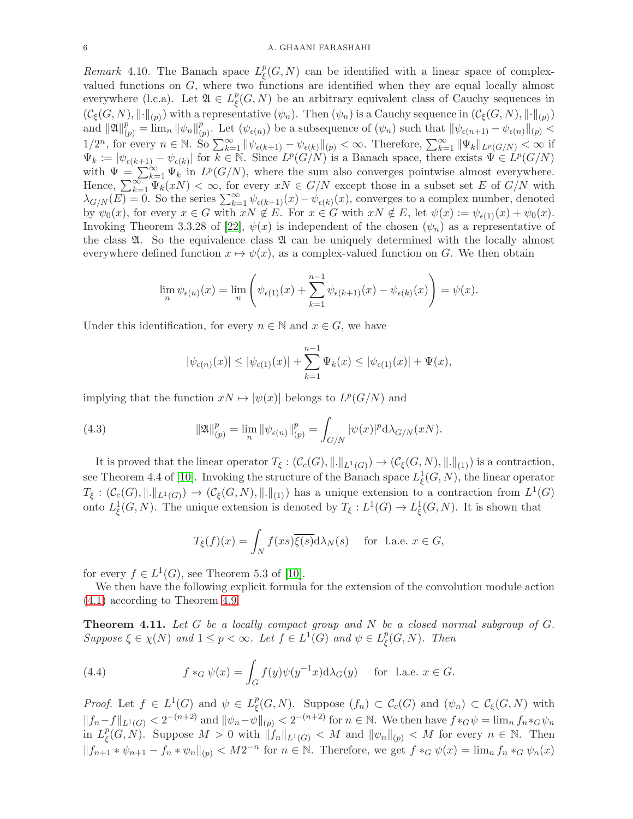### 6 A. GHAANI FARASHAHI

<span id="page-5-0"></span>Remark 4.10. The Banach space  $L^p_{\xi}$  $\frac{p}{\xi}(G, N)$  can be identified with a linear space of complexvalued functions on G, where two functions are identified when they are equal locally almost everywhere (l.c.a). Let  $\mathfrak{A} \in L^p_{\mathfrak{c}}$  $\mathcal{L}^p_{\xi}(G, N)$  be an arbitrary equivalent class of Cauchy sequences in  $(\mathcal{C}_{\xi}(G, N), \|\cdot\|_{(p)})$  with a representative  $(\psi_n)$ . Then  $(\psi_n)$  is a Cauchy sequence in  $(\mathcal{C}_{\xi}(G, N), \|\cdot\|_{(p)})$ and  $\|\mathfrak{A}\|_{(p)}^p = \lim_n ||\psi_n||_{(p)}^p$ . Let  $(\psi_{\epsilon(n)})$  be a subsequence of  $(\psi_n)$  such that  $||\psi_{\epsilon(n+1)} - \psi_{\epsilon(n)}||_{(p)}$ (p)  $1/2^n$ , for every  $n \in \mathbb{N}$ . So  $\sum_{k=1}^{\infty} \|\psi_{\epsilon(k+1)} - \psi_{\epsilon(k)}\|_{(p)} < \infty$ . Therefore,  $\sum_{k=1}^{\infty} \|\Psi_k\|_{L^p(G/N)} < \infty$  if  $\Psi_k := |\psi_{\epsilon(k+1)} - \psi_{\epsilon(k)}|$  for  $k \in \mathbb{N}$ . Since  $L^p(G/N)$  is a Banach space, there exists  $\Psi \in L^p(G/N)$ with  $\Psi = \sum_{k=1}^{\infty} \Psi_k$  in  $L^p(G/N)$ , where the sum also converges pointwise almost everywhere. Hence,  $\sum_{k=1}^{\infty} \Psi_k(xN) < \infty$ , for every  $xN \in G/N$  except those in a subset set E of  $G/N$  with  $\lambda_{G/N}(E) = 0$ . So the series  $\sum_{k=1}^{\infty} \psi_{\epsilon(k+1)}(x) - \psi_{\epsilon(k)}(x)$ , converges to a complex number, denoted by  $\psi_0(x)$ , for every  $x \in G$  with  $xN \notin E$ . For  $x \in G$  with  $xN \notin E$ , let  $\psi(x) := \psi_{\epsilon(1)}(x) + \psi_0(x)$ . Invoking Theorem 3.3.28 of [\[22\]](#page-11-19),  $\psi(x)$  is independent of the chosen  $(\psi_n)$  as a representative of the class  $\mathfrak{A}$ . So the equivalence class  $\mathfrak{A}$  can be uniquely determined with the locally almost everywhere defined function  $x \mapsto \psi(x)$ , as a complex-valued function on G. We then obtain

$$
\lim_{n} \psi_{\epsilon(n)}(x) = \lim_{n} \left( \psi_{\epsilon(1)}(x) + \sum_{k=1}^{n-1} \psi_{\epsilon(k+1)}(x) - \psi_{\epsilon(k)}(x) \right) = \psi(x).
$$

Under this identification, for every  $n \in \mathbb{N}$  and  $x \in G$ , we have

$$
|\psi_{\epsilon(n)}(x)| \le |\psi_{\epsilon(1)}(x)| + \sum_{k=1}^{n-1} \Psi_k(x) \le |\psi_{\epsilon(1)}(x)| + \Psi(x),
$$

implying that the function  $xN \mapsto |\psi(x)|$  belongs to  $L^p(G/N)$  and

(4.3) 
$$
\|\mathfrak{A}\|_{(p)}^p = \lim_n \|\psi_{\epsilon(n)}\|_{(p)}^p = \int_{G/N} |\psi(x)|^p \mathrm{d}\lambda_{G/N}(xN).
$$

It is proved that the linear operator  $T_{\xi}: (\mathcal{C}_c(G), \|\. \|_{L^1(G)}) \to (\mathcal{C}_{\xi}(G, N), \|\. \|_{(1)})$  is a contraction, see Theorem 4.4 of [\[10\]](#page-11-10). Invoking the structure of the Banach space  $L^1_{\xi}(G, N)$ , the linear operator  $T_{\xi}: (\mathcal{C}_c(G), \|\cdot\|_{L^1(G)}) \to (\mathcal{C}_{\xi}(G,N), \|\cdot\|_{(1)})$  has a unique extension to a contraction from  $L^1(G)$ onto  $L^1_{\xi}(G, N)$ . The unique extension is denoted by  $T_{\xi}: L^1(G) \to L^1_{\xi}(G, N)$ . It is shown that

$$
T_{\xi}(f)(x) = \int_{N} f(xs)\overline{\xi(s)}d\lambda_{N}(s) \quad \text{ for l.a.e. } x \in G,
$$

for every  $f \in L^1(G)$ , see Theorem 5.3 of [\[10\]](#page-11-10).

We then have the following explicit formula for the extension of the convolution module action [\(4.1\)](#page-3-0) according to Theorem [4.9.](#page-4-1)

**Theorem 4.11.** Let  $G$  be a locally compact group and  $N$  be a closed normal subgroup of  $G$ . Suppose  $\xi \in \chi(N)$  and  $1 \leq p < \infty$ . Let  $f \in L^1(G)$  and  $\psi \in L^p$ .  $_{\xi}^{p}(G, N).$  Then

<span id="page-5-1"></span>(4.4) 
$$
f *_{G} \psi(x) = \int_{G} f(y)\psi(y^{-1}x) d\lambda_{G}(y) \quad \text{for l.a.e. } x \in G.
$$

*Proof.* Let  $f \in L^1(G)$  and  $\psi \in L^p$  $\mathcal{C}_{\xi}(G,N)$ . Suppose  $(f_n) \subset \mathcal{C}_{c}(G)$  and  $(\psi_n) \subset \mathcal{C}_{\xi}(G,N)$  with  $||f_n-f||_{L^1(G)} < 2^{-(n+2)}$  and  $||\psi_n-\psi||_{(p)} < 2^{-(n+2)}$  for  $n \in \mathbb{N}$ . We then have  $f *_{G}\psi = \lim_{n} f_n *_{G}\psi_n$ in  $L^p_{\epsilon}$  $_{\xi}^p(G, N)$ . Suppose  $M > 0$  with  $||f_n||_{L^1(G)} < M$  and  $||\psi_n||_{(p)} < M$  for every  $n \in \mathbb{N}$ . Then  $||f_{n+1} * \psi_{n+1} - f_n * \psi_n||_{(p)} < M2^{-n}$  for  $n \in \mathbb{N}$ . Therefore, we get  $f *_{G} \psi(x) = \lim_{n \to \infty} f_n *_{G} \psi_n(x)$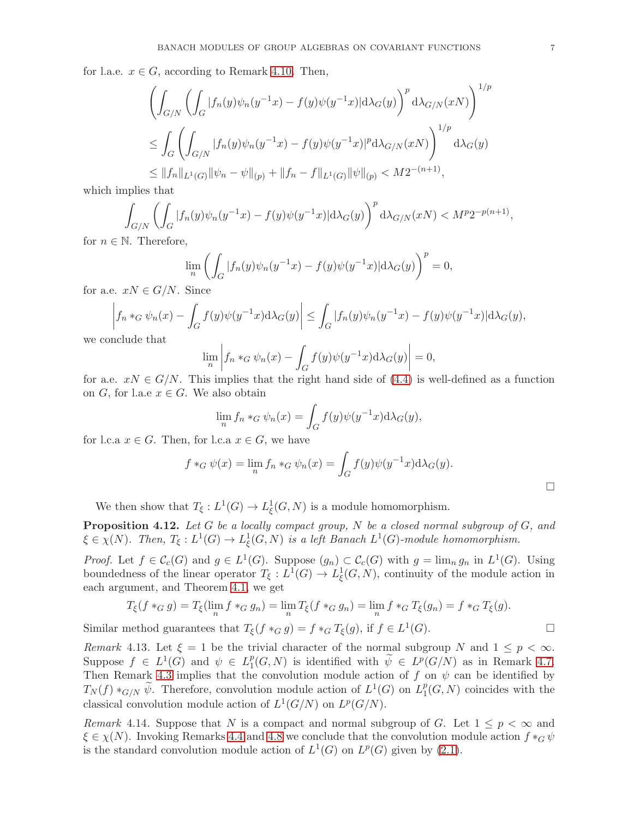for l.a.e.  $x \in G$ , according to Remark [4.10.](#page-5-0) Then,

$$
\left(\int_{G/N} \left(\int_G |f_n(y)\psi_n(y^{-1}x) - f(y)\psi(y^{-1}x)|d\lambda_G(y)\right)^p d\lambda_{G/N}(xN)\right)^{1/p}
$$
  
\n
$$
\leq \int_G \left(\int_{G/N} |f_n(y)\psi_n(y^{-1}x) - f(y)\psi(y^{-1}x)|^p d\lambda_{G/N}(xN)\right)^{1/p} d\lambda_G(y)
$$
  
\n
$$
\leq ||f_n||_{L^1(G)} ||\psi_n - \psi||_{(p)} + ||f_n - f||_{L^1(G)} ||\psi||_{(p)} < M2^{-(n+1)},
$$

which implies that

$$
\int_{G/N} \left( \int_G |f_n(y)\psi_n(y^{-1}x) - f(y)\psi(y^{-1}x)| \mathrm{d}\lambda_G(y) \right)^p \mathrm{d}\lambda_{G/N}(xN) < M^p 2^{-p(n+1)},
$$

for  $n \in \mathbb{N}$ . Therefore,

$$
\lim_{n} \left( \int_{G} |f_n(y)\psi_n(y^{-1}x) - f(y)\psi(y^{-1}x)| \mathrm{d}\lambda_G(y) \right)^p = 0,
$$

for a.e.  $xN \in G/N$ . Since

$$
\left| f_n *_{G} \psi_n(x) - \int_G f(y) \psi(y^{-1}x) d\lambda_G(y) \right| \leq \int_G |f_n(y) \psi_n(y^{-1}x) - f(y) \psi(y^{-1}x)| d\lambda_G(y),
$$

we conclude that

$$
\lim_{n} \left| f_n *_{G} \psi_n(x) - \int_{G} f(y) \psi(y^{-1}x) d\lambda_G(y) \right| = 0,
$$

for a.e.  $xN \in G/N$ . This implies that the right hand side of [\(4.4\)](#page-5-1) is well-defined as a function on G, for l.a.e  $x \in G$ . We also obtain

$$
\lim_{n} f_n *_{G} \psi_n(x) = \int_{G} f(y) \psi(y^{-1}x) d\lambda_G(y),
$$

for l.c.a  $x \in G$ . Then, for l.c.a  $x \in G$ , we have

$$
f *_{G} \psi(x) = \lim_{n} f_n *_{G} \psi_n(x) = \int_{G} f(y) \psi(y^{-1}x) d\lambda_G(y).
$$

We then show that  $T_{\xi}: L^1(G) \to L^1_{\xi}(G, N)$  is a module homomorphism.

**Proposition 4.12.** Let G be a locally compact group, N be a closed normal subgroup of  $G$ , and  $\xi \in \chi(N)$ . Then,  $T_{\xi}: L^1(G) \to L^1_{\xi}(G, N)$  is a left Banach  $L^1(G)$ -module homomorphism.

*Proof.* Let  $f \in \mathcal{C}_c(G)$  and  $g \in L^1(G)$ . Suppose  $(g_n) \subset \mathcal{C}_c(G)$  with  $g = \lim_n g_n$  in  $L^1(G)$ . Using boundedness of the linear operator  $T_{\xi}: L^{1}(G) \to L_{\xi}^{1}(G, N)$ , continuity of the module action in each argument, and Theorem [4.1,](#page-3-1) we get

$$
T_{\xi}(f *_{G} g) = T_{\xi}(\lim_{n} f *_{G} g_{n}) = \lim_{n} T_{\xi}(f *_{G} g_{n}) = \lim_{n} f *_{G} T_{\xi}(g_{n}) = f *_{G} T_{\xi}(g).
$$

Similar method guarantees that  $T_{\xi}(f *_{G} g) = f *_{G} T_{\xi}(g)$ , if  $f \in L^{1}(G)$ .

Remark 4.13. Let  $\xi = 1$  be the trivial character of the normal subgroup N and  $1 \leq p < \infty$ . Suppose  $f \in L^1(G)$  and  $\psi \in L_1^p$  $_1^p(G, N)$  is identified with  $\psi \in L^p(G/N)$  as in Remark [4.7.](#page-4-2) Then Remark [4.3](#page-3-2) implies that the convolution module action of f on  $\psi$  can be identified by  $T_N(f) *_{G/N} \widetilde{\psi}$ . Therefore, convolution module action of  $L^1(G)$  on  $L_1^p$  $_1^p(G, N)$  coincides with the classical convolution module action of  $L^1(G/N)$  on  $L^p(G/N)$ .

Remark 4.14. Suppose that N is a compact and normal subgroup of G. Let  $1 \leq p \leq \infty$  and  $\xi \in \chi(N)$ . Invoking Remarks [4.4](#page-3-3) and [4.8](#page-4-3) we conclude that the convolution module action  $f *_G \psi$ is the standard convolution module action of  $L^1(G)$  on  $L^p(G)$  given by [\(2.1\)](#page-1-1).

 $\Box$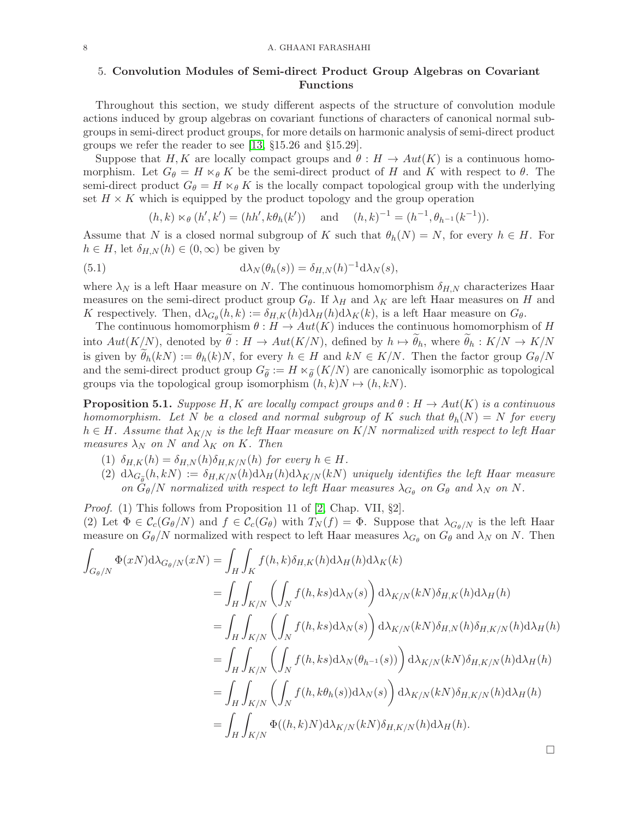## 5. Convolution Modules of Semi-direct Product Group Algebras on Covariant Functions

Throughout this section, we study different aspects of the structure of convolution module actions induced by group algebras on covariant functions of characters of canonical normal subgroups in semi-direct product groups, for more details on harmonic analysis of semi-direct product groups we refer the reader to see [\[13,](#page-11-18) §15.26 and §15.29].

Suppose that H, K are locally compact groups and  $\theta : H \to Aut(K)$  is a continuous homomorphism. Let  $G_{\theta} = H \times_{\theta} K$  be the semi-direct product of H and K with respect to  $\theta$ . The semi-direct product  $G_{\theta} = H \ltimes_{\theta} K$  is the locally compact topological group with the underlying set  $H \times K$  which is equipped by the product topology and the group operation

$$
(h,k) \ltimes_{\theta} (h',k') = (hh',k\theta_h(k'))
$$
 and  $(h,k)^{-1} = (h^{-1},\theta_{h^{-1}}(k^{-1})).$ 

Assume that N is a closed normal subgroup of K such that  $\theta_h(N) = N$ , for every  $h \in H$ . For  $h \in H$ , let  $\delta_{H,N}(h) \in (0,\infty)$  be given by

(5.1) 
$$
d\lambda_N(\theta_h(s)) = \delta_{H,N}(h)^{-1} d\lambda_N(s),
$$

where  $\lambda_N$  is a left Haar measure on N. The continuous homomorphism  $\delta_{H,N}$  characterizes Haar measures on the semi-direct product group  $G_{\theta}$ . If  $\lambda_H$  and  $\lambda_K$  are left Haar measures on H and K respectively. Then,  $d\lambda_{G_\theta}(h, k) := \delta_{H,K}(h) d\lambda_H(h) d\lambda_K(k)$ , is a left Haar measure on  $G_\theta$ .

The continuous homomorphism  $\theta : H \to Aut(K)$  induces the continuous homomorphism of H into  $Aut(K/N)$ , denoted by  $\theta: H \to Aut(K/N)$ , defined by  $h \mapsto \theta_h$ , where  $\theta_h: K/N \to K/N$ is given by  $\theta_h(kN) := \theta_h(k)N$ , for every  $h \in H$  and  $kN \in K/N$ . Then the factor group  $G_{\theta}/N$ and the semi-direct product group  $G_{\tilde{\theta}} := H \ltimes_{\tilde{\theta}} (K/N)$  are canonically isomorphic as topological groups via the topological group isomorphism  $(h, k)N \mapsto (h, kN)$ .

**Proposition 5.1.** Suppose H, K are locally compact groups and  $\theta : H \to Aut(K)$  is a continuous homomorphism. Let N be a closed and normal subgroup of K such that  $\theta_h(N) = N$  for every  $h \in H$ . Assume that  $\lambda_{K/N}$  is the left Haar measure on  $K/N$  normalized with respect to left Haar measures  $\lambda_N$  on N and  $\lambda_K$  on K. Then

- (1)  $\delta_{H,K}(h) = \delta_{H,N}(h) \delta_{H,K/N}(h)$  for every  $h \in H$ .
- (2)  $d\lambda_{G_{\widetilde{\theta}}}(h,kN) := \delta_{H,K/N}(h) d\lambda_H(h) d\lambda_{K/N}(kN)$  uniquely identifies the left Haar measure on  $G_{\theta}/N$  normalized with respect to left Haar measures  $\lambda_{G_{\theta}}$  on  $G_{\theta}$  and  $\lambda_N$  on N.
- Proof. (1) This follows from Proposition 11 of [\[2,](#page-11-11) Chap. VII, §2].

(2) Let  $\Phi \in \mathcal{C}_c(G_{\theta}/N)$  and  $f \in \mathcal{C}_c(G_{\theta})$  with  $T_N(f) = \Phi$ . Suppose that  $\lambda_{G_{\theta}/N}$  is the left Haar measure on  $G_{\theta}/N$  normalized with respect to left Haar measures  $\lambda_{G_{\theta}}$  on  $G_{\theta}$  and  $\lambda_N$  on N. Then

$$
\int_{G_{\theta}/N} \Phi(xN) \mathrm{d}\lambda_{G_{\theta}/N}(xN) = \int_{H} \int_{K} f(h,k) \delta_{H,K}(h) \mathrm{d}\lambda_{H}(h) \mathrm{d}\lambda_{K}(k)
$$
\n
$$
= \int_{H} \int_{K/N} \left( \int_{N} f(h,ks) \mathrm{d}\lambda_{N}(s) \right) \mathrm{d}\lambda_{K/N}(kN) \delta_{H,K}(h) \mathrm{d}\lambda_{H}(h)
$$
\n
$$
= \int_{H} \int_{K/N} \left( \int_{N} f(h,ks) \mathrm{d}\lambda_{N}(s) \right) \mathrm{d}\lambda_{K/N}(kN) \delta_{H,N}(h) \delta_{H,K/N}(h) \mathrm{d}\lambda_{H}(h)
$$
\n
$$
= \int_{H} \int_{K/N} \left( \int_{N} f(h,ks) \mathrm{d}\lambda_{N}(\theta_{h^{-1}}(s)) \right) \mathrm{d}\lambda_{K/N}(kN) \delta_{H,K/N}(h) \mathrm{d}\lambda_{H}(h)
$$
\n
$$
= \int_{H} \int_{K/N} \left( \int_{N} f(h, k\theta_{h}(s)) \mathrm{d}\lambda_{N}(s) \right) \mathrm{d}\lambda_{K/N}(kN) \delta_{H,K/N}(h) \mathrm{d}\lambda_{H}(h)
$$
\n
$$
= \int_{H} \int_{K/N} \Phi((h, k)N) \mathrm{d}\lambda_{K/N}(kN) \delta_{H,K/N}(h) \mathrm{d}\lambda_{H}(h).
$$

 $\Box$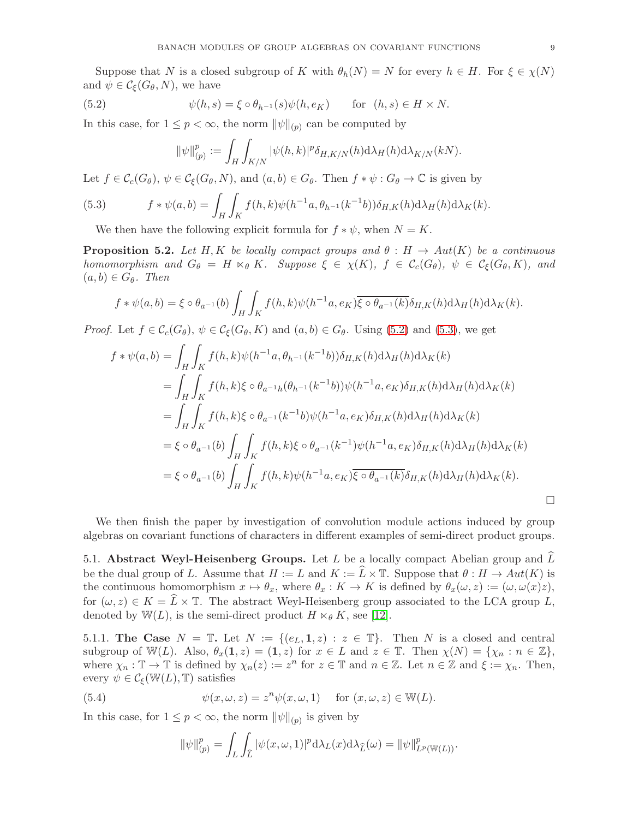Suppose that N is a closed subgroup of K with  $\theta_h(N) = N$  for every  $h \in H$ . For  $\xi \in \chi(N)$ and  $\psi \in \mathcal{C}_{\xi}(G_{\theta}, N)$ , we have

(5.2) 
$$
\psi(h,s) = \xi \circ \theta_{h^{-1}}(s)\psi(h,e_K) \quad \text{for } (h,s) \in H \times N.
$$

In this case, for  $1 \leq p < \infty$ , the norm  $\|\psi\|_{(p)}$  can be computed by

<span id="page-8-0"></span>
$$
\|\psi\|_{(p)}^p:=\int_H\int_{K/N}|\psi(h,k)|^p\delta_{H,K/N}(h)\mathrm{d}\lambda_H(h)\mathrm{d}\lambda_{K/N}(kN).
$$

Let  $f \in \mathcal{C}_c(G_\theta)$ ,  $\psi \in \mathcal{C}_{\xi}(G_\theta, N)$ , and  $(a, b) \in G_\theta$ . Then  $f * \psi : G_\theta \to \mathbb{C}$  is given by

(5.3) 
$$
f * \psi(a, b) = \int_H \int_K f(h, k) \psi(h^{-1}a, \theta_{h^{-1}}(k^{-1}b)) \delta_{H,K}(h) d\lambda_H(h) d\lambda_K(k).
$$

<span id="page-8-1"></span>We then have the following explicit formula for  $f * \psi$ , when  $N = K$ .

**Proposition 5.2.** Let H, K be locally compact groups and  $\theta : H \to Aut(K)$  be a continuous homomorphism and  $G_{\theta} = H \ltimes_{\theta} K$ . Suppose  $\xi \in \chi(K)$ ,  $f \in \mathcal{C}_{c}(G_{\theta}), \psi \in \mathcal{C}_{\xi}(G_{\theta}, K)$ , and  $(a, b) \in G_{\theta}$ . Then

$$
f * \psi(a, b) = \xi \circ \theta_{a^{-1}}(b) \int_H \int_K f(h, k) \psi(h^{-1}a, e_K) \overline{\xi \circ \theta_{a^{-1}}(k)} \delta_{H,K}(h) d\lambda_H(h) d\lambda_K(k).
$$

*Proof.* Let  $f \in \mathcal{C}_c(G_\theta)$ ,  $\psi \in \mathcal{C}_f(G_\theta, K)$  and  $(a, b) \in G_\theta$ . Using [\(5.2\)](#page-8-0) and [\(5.3\)](#page-8-1), we get

$$
f * \psi(a, b) = \int_H \int_K f(h, k) \psi(h^{-1}a, \theta_{h^{-1}}(k^{-1}b)) \delta_{H,K}(h) d\lambda_H(h) d\lambda_K(k)
$$
  
\n
$$
= \int_H \int_K f(h, k) \xi \circ \theta_{a^{-1}h}(\theta_{h^{-1}}(k^{-1}b)) \psi(h^{-1}a, e_K) \delta_{H,K}(h) d\lambda_H(h) d\lambda_K(k)
$$
  
\n
$$
= \int_H \int_K f(h, k) \xi \circ \theta_{a^{-1}}(k^{-1}b) \psi(h^{-1}a, e_K) \delta_{H,K}(h) d\lambda_H(h) d\lambda_K(k)
$$
  
\n
$$
= \xi \circ \theta_{a^{-1}}(b) \int_H \int_K f(h, k) \xi \circ \theta_{a^{-1}}(k^{-1}) \psi(h^{-1}a, e_K) \delta_{H,K}(h) d\lambda_H(h) d\lambda_K(k)
$$
  
\n
$$
= \xi \circ \theta_{a^{-1}}(b) \int_H \int_K f(h, k) \psi(h^{-1}a, e_K) \overline{\xi \circ \theta_{a^{-1}}(k)} \delta_{H,K}(h) d\lambda_H(h) d\lambda_K(k).
$$

We then finish the paper by investigation of convolution module actions induced by group algebras on covariant functions of characters in different examples of semi-direct product groups.

5.1. Abstract Weyl-Heisenberg Groups. Let  $L$  be a locally compact Abelian group and  $L$ be the dual group of L. Assume that  $H := L$  and  $K := L \times \mathbb{T}$ . Suppose that  $\theta : H \to Aut(K)$  is the continuous homomorphism  $x \mapsto \theta_x$ , where  $\theta_x : K \to K$  is defined by  $\theta_x(\omega, z) := (\omega, \omega(x)z)$ , for  $(\omega, z) \in K = L \times \mathbb{T}$ . The abstract Weyl-Heisenberg group associated to the LCA group L, denoted by W(L), is the semi-direct product  $H \ltimes_{\theta} K$ , see [\[12\]](#page-11-21).

5.1.1. The Case  $N = \mathbb{T}$ . Let  $N := \{(e_L, 1, z) : z \in \mathbb{T}\}\$ . Then N is a closed and central subgroup of W(L). Also,  $\theta_x(1, z) = (1, z)$  for  $x \in L$  and  $z \in \mathbb{T}$ . Then  $\chi(N) = \{\chi_n : n \in \mathbb{Z}\},\$ where  $\chi_n : \mathbb{T} \to \mathbb{T}$  is defined by  $\chi_n(z) := z^n$  for  $z \in \mathbb{T}$  and  $n \in \mathbb{Z}$ . Let  $n \in \mathbb{Z}$  and  $\xi := \chi_n$ . Then, every  $\psi \in \mathcal{C}_{\xi}(\mathbb{W}(L), \mathbb{T})$  satisfies

(5.4) 
$$
\psi(x,\omega,z) = z^n \psi(x,\omega,1) \quad \text{for } (x,\omega,z) \in \mathbb{W}(L).
$$

In this case, for  $1 \leq p < \infty$ , the norm  $\|\psi\|_{(p)}$  is given by

<span id="page-8-2"></span>
$$
\|\psi\|_{(p)}^p = \int_L \int_{\widehat{L}} |\psi(x,\omega,1)|^p \mathrm{d}\lambda_L(x) \mathrm{d}\lambda_{\widehat{L}}(\omega) = \|\psi\|_{L^p(\mathbb{W}(L))}^p.
$$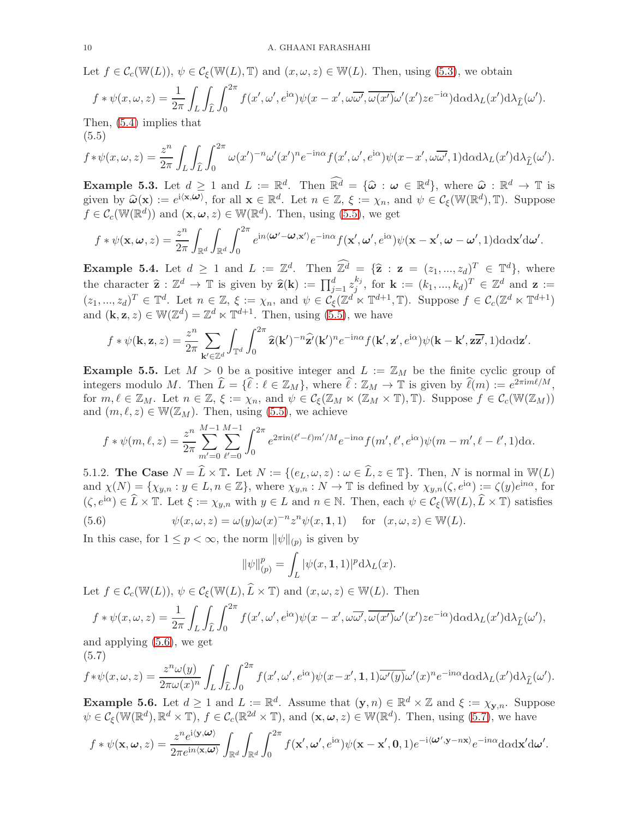Let  $f \in \mathcal{C}_{c}(\mathbb{W}(L)), \psi \in \mathcal{C}_{\xi}(\mathbb{W}(L), \mathbb{T})$  and  $(x, \omega, z) \in \mathbb{W}(L)$ . Then, using [\(5.3\)](#page-8-1), we obtain

$$
f * \psi(x, \omega, z) = \frac{1}{2\pi} \int_L \int_L \int_0^{2\pi} f(x', \omega', e^{i\alpha}) \psi(x - x', \omega\overline{\omega'}, \overline{\omega(x')} \omega'(x') z e^{-i\alpha}) d\alpha d\lambda_L(x') d\lambda_{\widehat{L}}(\omega').
$$
  
then (5.4) implies that

Then, [\(5.4\)](#page-8-2) implies that (5.5)

<span id="page-9-0"></span>
$$
f * \psi(x, \omega, z) = \frac{z^n}{2\pi} \int_L \int_L \int_0^{2\pi} \omega(x')^{-n} \omega'(x')^n e^{-in\alpha} f(x', \omega', e^{i\alpha}) \psi(x - x', \omega\overline{\omega'}, 1) d\alpha d\lambda_L(x') d\lambda_{\widehat{L}}(\omega').
$$

**Example 5.3.** Let  $d \geq 1$  and  $L := \mathbb{R}^d$ . Then  $\mathbb{R}^d = {\hat{\omega}: \omega \in \mathbb{R}^d}$ , where  $\hat{\omega}: \mathbb{R}^d \to \mathbb{T}$  is given by  $\widehat{\omega}(\mathbf{x}) := e^{i \langle \mathbf{x}, \omega \rangle}$ , for all  $\mathbf{x} \in \mathbb{R}^d$ . Let  $n \in \mathbb{Z}$ ,  $\xi := \chi_n$ , and  $\psi \in \mathcal{C}_{\xi}(\mathbb{W}(\mathbb{R}^d), \mathbb{T})$ . Suppose  $f \in \mathcal{C}_c(\mathbb{W}(\mathbb{R}^d))$  and  $(\mathbf{x}, \boldsymbol{\omega}, z) \in \mathbb{W}(\mathbb{R}^d)$ . Then, using [\(5.5\)](#page-9-0), we get

$$
f * \psi(\mathbf{x}, \omega, z) = \frac{z^n}{2\pi} \int_{\mathbb{R}^d} \int_{\mathbb{R}^d} \int_0^{2\pi} e^{in\langle \omega' - \omega, \mathbf{x}' \rangle} e^{-in\alpha} f(\mathbf{x}', \omega', e^{i\alpha}) \psi(\mathbf{x} - \mathbf{x}', \omega - \omega', 1) d\alpha \mathrm{d}\mathbf{x}' \mathrm{d}\omega'.
$$

**Example 5.4.** Let  $d \geq 1$  and  $L := \mathbb{Z}^d$ . Then  $\mathbb{Z}^d = {\hat{\mathbf{z}} : \mathbf{z} = (z_1, ..., z_d)^T \in \mathbb{T}^d}$ , where the character  $\hat{\mathbf{z}} : \mathbb{Z}^d \to \mathbb{T}$  is given by  $\hat{\mathbf{z}}(\mathbf{k}) := \prod_{j=1}^d z_j^{k_j}$  $j^{k_j}$ , for  $\mathbf{k} := (k_1, ..., k_d)^T \in \mathbb{Z}^d$  and  $\mathbf{z} :=$  $(z_1, ..., z_d)^T \in \mathbb{T}^d$ . Let  $n \in \mathbb{Z}, \xi := \chi_n$ , and  $\psi \in \mathcal{C}_{\xi}(\mathbb{Z}^d \ltimes \mathbb{T}^{d+1}, \mathbb{T})$ . Suppose  $f \in \mathcal{C}_{\epsilon}(\mathbb{Z}^d \ltimes \mathbb{T}^{d+1})$ and  $(\mathbf{k}, \mathbf{z}, z) \in \mathbb{W}(\mathbb{Z}^d) = \mathbb{Z}^d \ltimes \mathbb{T}^{d+1}$ . Then, using [\(5.5\)](#page-9-0), we have

$$
f * \psi(\mathbf{k}, \mathbf{z}, z) = \frac{z^n}{2\pi} \sum_{\mathbf{k}' \in \mathbb{Z}^d} \int_{\mathbb{T}^d} \int_0^{2\pi} \hat{\mathbf{z}}(\mathbf{k}')^{-n} \hat{\mathbf{z}}'(\mathbf{k}')^n e^{-in\alpha} f(\mathbf{k}', \mathbf{z}', e^{i\alpha}) \psi(\mathbf{k} - \mathbf{k}', \mathbf{z}\overline{\mathbf{z}'}, 1) d\alpha dz'
$$

.

**Example 5.5.** Let  $M > 0$  be a positive integer and  $L := \mathbb{Z}_M$  be the finite cyclic group of integers modulo M. Then  $\widehat{L} = \{\widehat{\ell} : \ell \in \mathbb{Z}_M\}$ , where  $\widehat{\ell} : \mathbb{Z}_M \to \mathbb{T}$  is given by  $\widehat{\ell}(m) := e^{2\pi i m \ell/M}$ , for  $m, \ell \in \mathbb{Z}_M$ . Let  $n \in \mathbb{Z}, \xi := \chi_n$ , and  $\psi \in \mathcal{C}_{\xi}(\mathbb{Z}_M \ltimes (\mathbb{Z}_M \times \mathbb{T}), \mathbb{T})$ . Suppose  $f \in \mathcal{C}_c(\mathbb{W}(\mathbb{Z}_M))$ and  $(m, \ell, z) \in W(\mathbb{Z}_M)$ . Then, using [\(5.5\)](#page-9-0), we achieve

$$
f * \psi(m, \ell, z) = \frac{z^n}{2\pi} \sum_{m'=0}^{M-1} \sum_{\ell'=0}^{M-1} \int_0^{2\pi} e^{2\pi i n(\ell'-\ell)m'/M} e^{-in\alpha} f(m', \ell', e^{i\alpha}) \psi(m-m', \ell-\ell', 1) d\alpha.
$$

5.1.2. The Case  $N = \hat{L} \times \mathbb{T}$ . Let  $N := \{(e_L, \omega, z) : \omega \in \hat{L}, z \in \mathbb{T}\}$ . Then, N is normal in W(L) and  $\chi(N) = \{\chi_{y,n} : y \in L, n \in \mathbb{Z}\}\$ , where  $\chi_{y,n} : N \to \mathbb{T}$  is defined by  $\chi_{y,n}(\zeta, e^{i\alpha}) := \zeta(y)e^{in\alpha}$ , for  $(\zeta, e^{i\alpha}) \in \widehat{L} \times \mathbb{T}$ . Let  $\xi := \chi_{y,n}$  with  $y \in L$  and  $n \in \mathbb{N}$ . Then, each  $\psi \in \mathcal{C}_{\xi}(\mathbb{W}(L), \widehat{L} \times \mathbb{T})$  satisfies (5.6)  $\psi(x,\omega,z) = \omega(y)\omega(x)^{-n}z^n\psi(x,1,1)$  for  $(x,\omega,z) \in \mathbb{W}(L)$ .

In this case, for  $1 \leq p < \infty$ , the norm  $\|\psi\|_{(p)}$  is given by

<span id="page-9-1"></span>
$$
\|\psi\|_{(p)}^p = \int_L |\psi(x, 1, 1)|^p d\lambda_L(x).
$$

Let  $f \in \mathcal{C}_c(\mathbb{W}(L)), \psi \in \mathcal{C}_{\xi}(\mathbb{W}(L), L \times \mathbb{T})$  and  $(x, \omega, z) \in \mathbb{W}(L)$ . Then

$$
f * \psi(x, \omega, z) = \frac{1}{2\pi} \int_L \int_L \int_0^{2\pi} f(x', \omega', e^{i\alpha}) \psi(x - x', \omega\overline{\omega'}, \overline{\omega(x')} \omega'(x') z e^{-i\alpha}) d\alpha d\lambda_L(x') d\lambda_{\widehat{L}}(\omega'),
$$
nd applying (5.6) we get

and applying [\(5.6\)](#page-9-1), we get (5.7)

<span id="page-9-2"></span>
$$
f * \psi(x, \omega, z) = \frac{z^n \omega(y)}{2\pi \omega(x)^n} \int_L \int_L \int_0^{2\pi} f(x', \omega', e^{i\alpha}) \psi(x - x', 1, 1) \overline{\omega'(y)} \omega'(x)^n e^{-in\alpha} d\alpha d\lambda_L(x') d\lambda_{\widehat{L}}(\omega').
$$

**Example 5.6.** Let  $d \geq 1$  and  $L := \mathbb{R}^d$ . Assume that  $(\mathbf{y}, n) \in \mathbb{R}^d \times \mathbb{Z}$  and  $\xi := \chi_{\mathbf{y}, n}$ . Suppose  $\psi \in \mathcal{C}_{\xi}(\mathbb{W}(\mathbb{R}^d), \mathbb{R}^d \times \mathbb{T}), f \in \mathcal{C}_{c}(\mathbb{R}^{2d} \times \mathbb{T}), \text{ and } (\mathbf{x}, \boldsymbol{\omega}, z) \in \mathbb{W}(\mathbb{R}^d)$ . Then, using [\(5.7\)](#page-9-2), we have

$$
f*\psi(\mathbf{x},\boldsymbol{\omega},z)=\frac{z^n e^{\mathrm{i}\langle \mathbf{y},\boldsymbol{\omega}\rangle}}{2\pi e^{\mathrm{i}n\langle \mathbf{x},\boldsymbol{\omega}\rangle}}\int_{\mathbb{R}^d}\int_{\mathbb{R}^d}\int_0^{2\pi}f(\mathbf{x}',\boldsymbol{\omega}',e^{\mathrm{i}\alpha})\psi(\mathbf{x}-\mathbf{x}',\mathbf{0},1)e^{-\mathrm{i}\langle \boldsymbol{\omega}',\mathbf{y}-n\mathbf{x}\rangle}e^{-\mathrm{i}n\alpha}\mathrm{d}\alpha\mathrm{d}\mathbf{x}'\mathrm{d}\boldsymbol{\omega}'.
$$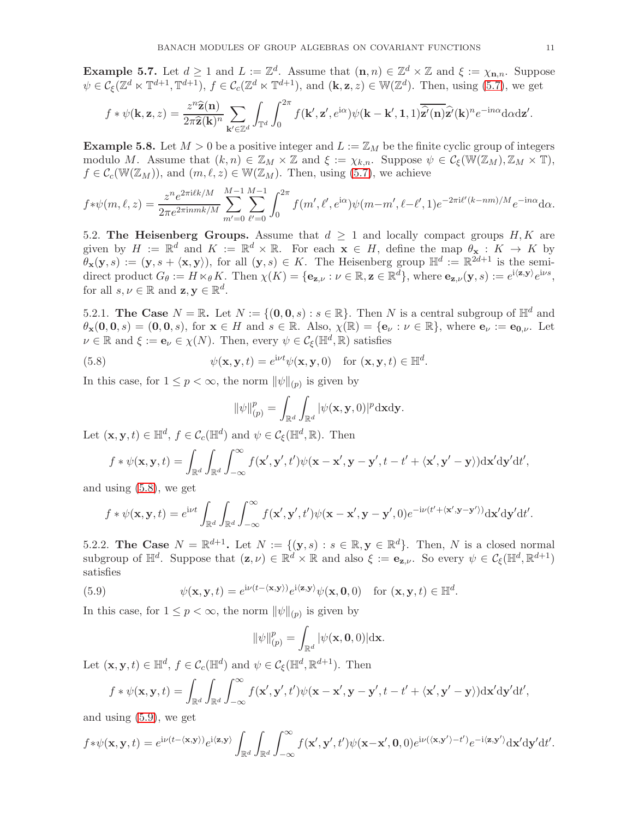**Example 5.7.** Let  $d \geq 1$  and  $L := \mathbb{Z}^d$ . Assume that  $(\mathbf{n}, n) \in \mathbb{Z}^d \times \mathbb{Z}$  and  $\xi := \chi_{\mathbf{n}, n}$ . Suppose  $\psi \in \mathcal{C}_{\xi}(\mathbb{Z}^d \ltimes \mathbb{T}^{d+1}, \mathbb{T}^{d+1}), f \in \mathcal{C}_{c}(\mathbb{Z}^d \ltimes \mathbb{T}^{d+1}), \text{ and } (\mathbf{k}, \mathbf{z}, z) \in \mathbb{W}(\mathbb{Z}^d)$ . Then, using [\(5.7\)](#page-9-2), we get

$$
f * \psi(\mathbf{k}, \mathbf{z}, z) = \frac{z^n \widehat{\mathbf{z}}(\mathbf{n})}{2\pi \widehat{\mathbf{z}}(\mathbf{k})^n} \sum_{\mathbf{k}' \in \mathbb{Z}^d} \int_{\mathbb{T}^d} \int_0^{2\pi} f(\mathbf{k}', \mathbf{z}', e^{i\alpha}) \psi(\mathbf{k} - \mathbf{k}', \mathbf{1}, 1) \overline{\widehat{\mathbf{z}}'(\mathbf{n})} \widehat{\mathbf{z}'}(\mathbf{k})^n e^{-in\alpha} d\alpha d\mathbf{z}'.
$$

**Example 5.8.** Let  $M > 0$  be a positive integer and  $L := \mathbb{Z}_M$  be the finite cyclic group of integers modulo M. Assume that  $(k, n) \in \mathbb{Z}_M \times \mathbb{Z}$  and  $\xi := \chi_{k,n}$ . Suppose  $\psi \in \mathcal{C}_{\xi}(\mathbb{W}(\mathbb{Z}_M), \mathbb{Z}_M \times \mathbb{T})$ ,  $f \in \mathcal{C}_c(\mathbb{W}(\mathbb{Z}_M))$ , and  $(m,\ell,z) \in \mathbb{W}(\mathbb{Z}_M)$ . Then, using  $(5.7)$ , we achieve

$$
f*\psi(m,\ell,z) = \frac{z^n e^{2\pi i \ell k/M}}{2\pi e^{2\pi i n m k/M}} \sum_{m'=0}^{M-1} \sum_{\ell'=0}^{M-1} \int_0^{2\pi} f(m',\ell',e^{i\alpha}) \psi(m-m',\ell-\ell',1) e^{-2\pi i \ell'(k-nm)/M} e^{-in\alpha} d\alpha.
$$

5.2. The Heisenberg Groups. Assume that  $d \geq 1$  and locally compact groups H, K are given by  $H := \mathbb{R}^d$  and  $K := \mathbb{R}^d \times \mathbb{R}$ . For each  $\mathbf{x} \in H$ , define the map  $\theta_{\mathbf{x}} : K \to K$  by  $\theta_{\mathbf{x}}(\mathbf{y},s) := (\mathbf{y}, s + \langle \mathbf{x}, \mathbf{y} \rangle)$ , for all  $(\mathbf{y}, s) \in K$ . The Heisenberg group  $\mathbb{H}^d := \mathbb{R}^{2d+1}$  is the semidirect product  $G_{\theta} := H \ltimes_{\theta} K$ . Then  $\chi(K) = {\bf{e}}_{{\bf{z}},\nu} : \nu \in \mathbb{R}, {\bf{z}} \in \mathbb{R}^d$ , where  ${\bf{e}}_{{\bf{z}},\nu}({\bf{y}},s) := e^{i\langle {\bf{z}}, {\bf{y}} \rangle} e^{i\nu s}$ , for all  $s, \nu \in \mathbb{R}$  and  $\mathbf{z}, \mathbf{y} \in \mathbb{R}^d$ .

5.2.1. The Case  $N = \mathbb{R}$ . Let  $N := \{(0, 0, s) : s \in \mathbb{R}\}$ . Then N is a central subgroup of  $\mathbb{H}^d$  and  $\theta_{\mathbf{x}}(\mathbf{0},\mathbf{0},s) = (\mathbf{0},\mathbf{0},s)$ , for  $\mathbf{x} \in H$  and  $s \in \mathbb{R}$ . Also,  $\chi(\mathbb{R}) = \{\mathbf{e}_{\nu} : \nu \in \mathbb{R}\}$ , where  $\mathbf{e}_{\nu} := \mathbf{e}_{\mathbf{0},\nu}$ . Let  $\nu \in \mathbb{R}$  and  $\xi := \mathbf{e}_{\nu} \in \chi(N)$ . Then, every  $\psi \in \mathcal{C}_{\xi}(\mathbb{H}^d, \mathbb{R})$  satisfies

(5.8) 
$$
\psi(\mathbf{x}, \mathbf{y}, t) = e^{\mathrm{i}\nu t} \psi(\mathbf{x}, \mathbf{y}, 0) \quad \text{for } (\mathbf{x}, \mathbf{y}, t) \in \mathbb{H}^d.
$$

In this case, for  $1 \leq p < \infty$ , the norm  $\|\psi\|_{(p)}$  is given by

<span id="page-10-0"></span>
$$
\|\psi\|_{(p)}^p = \int_{\mathbb{R}^d} \int_{\mathbb{R}^d} |\psi(\mathbf{x}, \mathbf{y}, 0)|^p \mathrm{d} \mathbf{x} \mathrm{d} \mathbf{y}.
$$

Let  $(\mathbf{x}, \mathbf{y}, t) \in \mathbb{H}^d$ ,  $f \in \mathcal{C}_c(\mathbb{H}^d)$  and  $\psi \in \mathcal{C}_\xi(\mathbb{H}^d, \mathbb{R})$ . Then

$$
f * \psi(\mathbf{x}, \mathbf{y}, t) = \int_{\mathbb{R}^d} \int_{\mathbb{R}^d} \int_{-\infty}^{\infty} f(\mathbf{x}', \mathbf{y}', t') \psi(\mathbf{x} - \mathbf{x}', \mathbf{y} - \mathbf{y}', t - t' + \langle \mathbf{x}', \mathbf{y}' - \mathbf{y} \rangle) d\mathbf{x}' d\mathbf{y}' dt',
$$

and using [\(5.8\)](#page-10-0), we get

$$
f * \psi(\mathbf{x}, \mathbf{y}, t) = e^{\mathrm{i} \nu t} \int_{\mathbb{R}^d} \int_{\mathbb{R}^d} \int_{-\infty}^{\infty} f(\mathbf{x}', \mathbf{y}', t') \psi(\mathbf{x} - \mathbf{x}', \mathbf{y} - \mathbf{y}', 0) e^{-\mathrm{i} \nu (t' + \langle \mathbf{x}', \mathbf{y} - \mathbf{y}' \rangle)} \mathrm{d} \mathbf{x}' \mathrm{d} \mathbf{y}' \mathrm{d} t'.
$$

5.2.2. The Case  $N = \mathbb{R}^{d+1}$ . Let  $N := \{(\mathbf{y}, s) : s \in \mathbb{R}, \mathbf{y} \in \mathbb{R}^d\}$ . Then, N is a closed normal subgroup of  $\mathbb{H}^d$ . Suppose that  $(\mathbf{z}, \nu) \in \mathbb{R}^d \times \mathbb{R}$  and also  $\xi := \mathbf{e}_{\mathbf{z}, \nu}$ . So every  $\psi \in \mathcal{C}_{\xi}(\mathbb{H}^d, \mathbb{R}^{d+1})$ satisfies

(5.9) 
$$
\psi(\mathbf{x}, \mathbf{y}, t) = e^{i\nu(t - \langle \mathbf{x}, \mathbf{y} \rangle)} e^{i \langle \mathbf{z}, \mathbf{y} \rangle} \psi(\mathbf{x}, \mathbf{0}, 0) \text{ for } (\mathbf{x}, \mathbf{y}, t) \in \mathbb{H}^d.
$$

In this case, for  $1 \leq p < \infty$ , the norm  $\|\psi\|_{(p)}$  is given by

<span id="page-10-1"></span>
$$
\|\psi\|_{(p)}^p=\int_{\mathbb{R}^d}|\psi(\mathbf{x},\mathbf{0},0)|\mathrm{d}\mathbf{x}.
$$

Let  $(\mathbf{x}, \mathbf{y}, t) \in \mathbb{H}^d$ ,  $f \in \mathcal{C}_c(\mathbb{H}^d)$  and  $\psi \in \mathcal{C}_{\xi}(\mathbb{H}^d, \mathbb{R}^{d+1})$ . Then

$$
f * \psi(\mathbf{x}, \mathbf{y}, t) = \int_{\mathbb{R}^d} \int_{\mathbb{R}^d} \int_{-\infty}^{\infty} f(\mathbf{x}', \mathbf{y}', t') \psi(\mathbf{x} - \mathbf{x}', \mathbf{y} - \mathbf{y}', t - t' + \langle \mathbf{x}', \mathbf{y}' - \mathbf{y} \rangle) d\mathbf{x}' d\mathbf{y}' dt',
$$

and using [\(5.9\)](#page-10-1), we get

$$
f*\psi(\mathbf{x},\mathbf{y},t) = e^{\mathrm{i}\nu(t-\langle\mathbf{x},\mathbf{y}\rangle)}e^{\mathrm{i}\langle\mathbf{z},\mathbf{y}\rangle}\int_{\mathbb{R}^d}\int_{\mathbb{R}^d}\int_{-\infty}^{\infty}f(\mathbf{x}',\mathbf{y}',t')\psi(\mathbf{x}-\mathbf{x}',\mathbf{0},0)e^{\mathrm{i}\nu(\langle\mathbf{x},\mathbf{y}'\rangle-t')}e^{-\mathrm{i}\langle\mathbf{z},\mathbf{y}'\rangle}\mathrm{d}\mathbf{x}'\mathrm{d}\mathbf{y}'\mathrm{d}t'.
$$